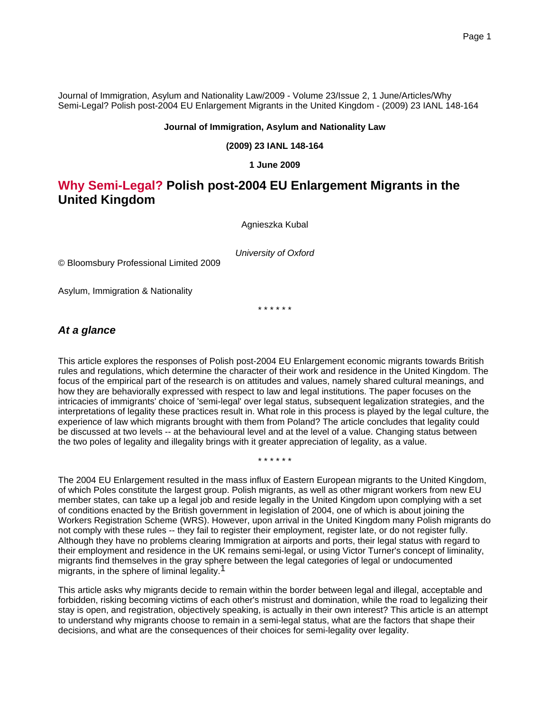Journal of Immigration, Asylum and Nationality Law/2009 - Volume 23/Issue 2, 1 June/Articles/Why Semi-Legal? Polish post-2004 EU Enlargement Migrants in the United Kingdom - (2009) 23 IANL 148-164

#### **Journal of Immigration, Asylum and Nationality Law**

#### **(2009) 23 IANL 148-164**

**1 June 2009**

### **Why Semi-Legal? Polish post-2004 EU Enlargement Migrants in the United Kingdom**

Agnieszka Kubal

University of Oxford

© Bloomsbury Professional Limited 2009

Asylum, Immigration & Nationality

\* \* \* \* \* \*

#### **At a glance**

This article explores the responses of Polish post-2004 EU Enlargement economic migrants towards British rules and regulations, which determine the character of their work and residence in the United Kingdom. The focus of the empirical part of the research is on attitudes and values, namely shared cultural meanings, and how they are behaviorally expressed with respect to law and legal institutions. The paper focuses on the intricacies of immigrants' choice of 'semi-legal' over legal status, subsequent legalization strategies, and the interpretations of legality these practices result in. What role in this process is played by the legal culture, the experience of law which migrants brought with them from Poland? The article concludes that legality could be discussed at two levels -- at the behavioural level and at the level of a value. Changing status between the two poles of legality and illegality brings with it greater appreciation of legality, as a value.

\* \* \* \* \* \*

The 2004 EU Enlargement resulted in the mass influx of Eastern European migrants to the United Kingdom, of which Poles constitute the largest group. Polish migrants, as well as other migrant workers from new EU member states, can take up a legal job and reside legally in the United Kingdom upon complying with a set of conditions enacted by the British government in legislation of 2004, one of which is about joining the Workers Registration Scheme (WRS). However, upon arrival in the United Kingdom many Polish migrants do not comply with these rules -- they fail to register their employment, register late, or do not register fully. Although they have no problems clearing Immigration at airports and ports, their legal status with regard to their employment and residence in the UK remains semi-legal, or using Victor Turner's concept of liminality, migrants find themselves in the gray sphere between the legal categories of legal or undocumented migrants, in the sphere of liminal legality.<sup>1</sup>

This article asks why migrants decide to remain within the border between legal and illegal, acceptable and forbidden, risking becoming victims of each other's mistrust and domination, while the road to legalizing their stay is open, and registration, objectively speaking, is actually in their own interest? This article is an attempt to understand why migrants choose to remain in a semi-legal status, what are the factors that shape their decisions, and what are the consequences of their choices for semi-legality over legality.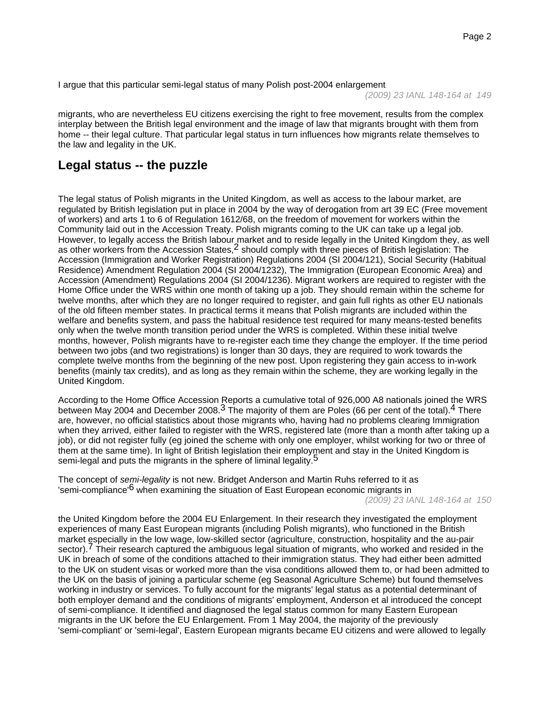I argue that this particular semi-legal status of many Polish post-2004 enlargement

(2009) 23 IANL 148-164 at 149

migrants, who are nevertheless EU citizens exercising the right to free movement, results from the complex interplay between the British legal environment and the image of law that migrants brought with them from home -- their legal culture. That particular legal status in turn influences how migrants relate themselves to the law and legality in the UK.

### **Legal status -- the puzzle**

The legal status of Polish migrants in the United Kingdom, as well as access to the labour market, are regulated by British legislation put in place in 2004 by the way of derogation from art 39 EC (Free movement of workers) and arts 1 to 6 of Regulation 1612/68, on the freedom of movement for workers within the Community laid out in the Accession Treaty. Polish migrants coming to the UK can take up a legal job. However, to legally access the British labour market and to reside legally in the United Kingdom they, as well as other workers from the Accession States,  $2$  should comply with three pieces of British legislation: The Accession (Immigration and Worker Registration) Regulations 2004 (SI 2004/121), Social Security (Habitual Residence) Amendment Regulation 2004 (SI 2004/1232), The Immigration (European Economic Area) and Accession (Amendment) Regulations 2004 (SI 2004/1236). Migrant workers are required to register with the Home Office under the WRS within one month of taking up a job. They should remain within the scheme for twelve months, after which they are no longer required to register, and gain full rights as other EU nationals of the old fifteen member states. In practical terms it means that Polish migrants are included within the welfare and benefits system, and pass the habitual residence test required for many means-tested benefits only when the twelve month transition period under the WRS is completed. Within these initial twelve months, however, Polish migrants have to re-register each time they change the employer. If the time period between two jobs (and two registrations) is longer than 30 days, they are required to work towards the complete twelve months from the beginning of the new post. Upon registering they gain access to in-work benefits (mainly tax credits), and as long as they remain within the scheme, they are working legally in the United Kingdom.

According to the Home Office Accession Reports a cumulative total of 926,000 A8 nationals joined the WRS between May 2004 and December 2008.<sup>3</sup> The majority of them are Poles (66 per cent of the total).<sup>4</sup> There are, however, no official statistics about those migrants who, having had no problems clearing Immigration when they arrived, either failed to register with the WRS, registered late (more than a month after taking up a job), or did not register fully (eg joined the scheme with only one employer, whilst working for two or three of them at the same time). In light of British legislation their employment and stay in the United Kingdom is semi-legal and puts the migrants in the sphere of liminal legality.<sup>5</sup>

The concept of semi-legality is not new. Bridget Anderson and Martin Ruhs referred to it as 'semi-compliance'<sup>6</sup> when examining the situation of East European economic migrants in

(2009) 23 IANL 148-164 at 150

the United Kingdom before the 2004 EU Enlargement. In their research they investigated the employment experiences of many East European migrants (including Polish migrants), who functioned in the British market especially in the low wage, low-skilled sector (agriculture, construction, hospitality and the au-pair sector). Their research captured the ambiguous legal situation of migrants, who worked and resided in the UK in breach of some of the conditions attached to their immigration status. They had either been admitted to the UK on student visas or worked more than the visa conditions allowed them to, or had been admitted to the UK on the basis of joining a particular scheme (eg Seasonal Agriculture Scheme) but found themselves working in industry or services. To fully account for the migrants' legal status as a potential determinant of both employer demand and the conditions of migrants' employment, Anderson et al introduced the concept of semi-compliance. It identified and diagnosed the legal status common for many Eastern European migrants in the UK before the EU Enlargement. From 1 May 2004, the majority of the previously 'semi-compliant' or 'semi-legal', Eastern European migrants became EU citizens and were allowed to legally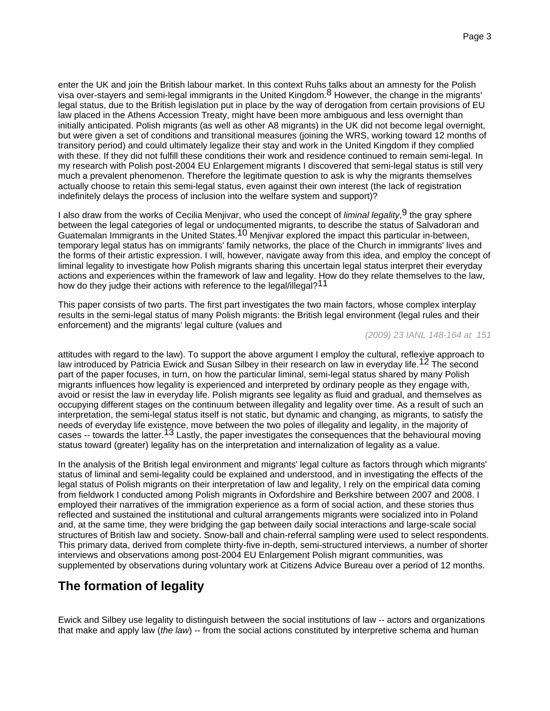enter the UK and join the British labour market. In this context Ruhs talks about an amnesty for the Polish visa over-stayers and semi-legal immigrants in the United Kingdom.<sup>8</sup> However, the change in the migrants' legal status, due to the British legislation put in place by the way of derogation from certain provisions of EU law placed in the Athens Accession Treaty, might have been more ambiguous and less overnight than initially anticipated. Polish migrants (as well as other A8 migrants) in the UK did not become legal overnight, but were given a set of conditions and transitional measures (joining the WRS, working toward 12 months of transitory period) and could ultimately legalize their stay and work in the United Kingdom if they complied with these. If they did not fulfill these conditions their work and residence continued to remain semi-legal. In my research with Polish post-2004 EU Enlargement migrants I discovered that semi-legal status is still very much a prevalent phenomenon. Therefore the legitimate question to ask is why the migrants themselves actually choose to retain this semi-legal status, even against their own interest (the lack of registration indefinitely delays the process of inclusion into the welfare system and support)?

I also draw from the works of Cecilia Menjivar, who used the concept of *liminal legality*,<sup>9</sup> the gray sphere between the legal categories of legal or undocumented migrants, to describe the status of Salvadoran and Guatemalan Immigrants in the United States.<sup>10</sup> Menjivar explored the impact this particular in-between, temporary legal status has on immigrants' family networks, the place of the Church in immigrants' lives and the forms of their artistic expression. I will, however, navigate away from this idea, and employ the concept of liminal legality to investigate how Polish migrants sharing this uncertain legal status interpret their everyday actions and experiences within the framework of law and legality. How do they relate themselves to the law, how do they judge their actions with reference to the legal/illegal?<sup>11</sup>

This paper consists of two parts. The first part investigates the two main factors, whose complex interplay results in the semi-legal status of many Polish migrants: the British legal environment (legal rules and their enforcement) and the migrants' legal culture (values and

#### (2009) 23 IANL 148-164 at 151

attitudes with regard to the law). To support the above argument I employ the cultural, reflexive approach to law introduced by Patricia Ewick and Susan Silbey in their research on law in everyday life.12 The second part of the paper focuses, in turn, on how the particular liminal, semi-legal status shared by many Polish migrants influences how legality is experienced and interpreted by ordinary people as they engage with, avoid or resist the law in everyday life. Polish migrants see legality as fluid and gradual, and themselves as occupying different stages on the continuum between illegality and legality over time. As a result of such an interpretation, the semi-legal status itself is not static, but dynamic and changing, as migrants, to satisfy the needs of everyday life existence, move between the two poles of illegality and legality, in the majority of cases -- towards the latter.<sup>13</sup> Lastly, the paper investigates the consequences that the behavioural moving status toward (greater) legality has on the interpretation and internalization of legality as a value.

In the analysis of the British legal environment and migrants' legal culture as factors through which migrants' status of liminal and semi-legality could be explained and understood, and in investigating the effects of the legal status of Polish migrants on their interpretation of law and legality, I rely on the empirical data coming from fieldwork I conducted among Polish migrants in Oxfordshire and Berkshire between 2007 and 2008. I employed their narratives of the immigration experience as a form of social action, and these stories thus reflected and sustained the institutional and cultural arrangements migrants were socialized into in Poland and, at the same time, they were bridging the gap between daily social interactions and large-scale social structures of British law and society. Snow-ball and chain-referral sampling were used to select respondents. This primary data, derived from complete thirty-five in-depth, semi-structured interviews, a number of shorter interviews and observations among post-2004 EU Enlargement Polish migrant communities, was supplemented by observations during voluntary work at Citizens Advice Bureau over a period of 12 months.

### **The formation of legality**

Ewick and Silbey use legality to distinguish between the social institutions of law -- actors and organizations that make and apply law (the law) -- from the social actions constituted by interpretive schema and human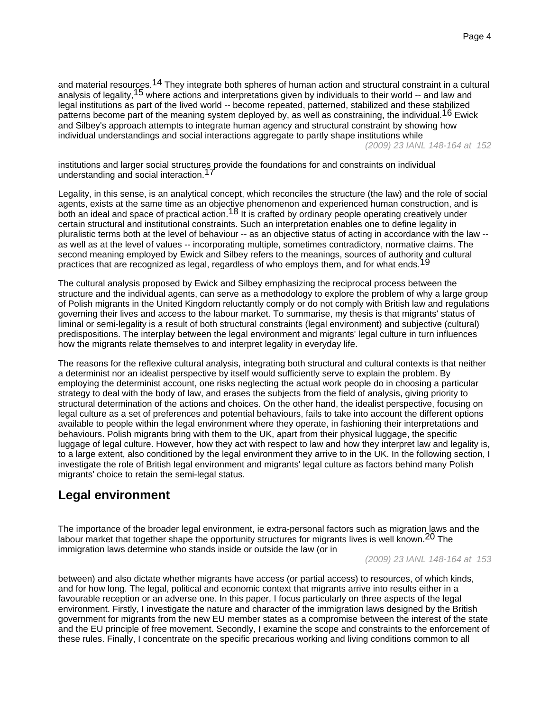and material resources.<sup>14</sup> They integrate both spheres of human action and structural constraint in a cultural analysis of legality, <sup>15</sup> where actions and interpretations given by individuals to their world -- and law and legal institutions as part of the lived world -- become repeated, patterned, stabilized and these stabilized patterns become part of the meaning system deployed by, as well as constraining, the individual.<sup>16</sup> Ewick and Silbey's approach attempts to integrate human agency and structural constraint by showing how individual understandings and social interactions aggregate to partly shape institutions while

(2009) 23 IANL 148-164 at 152

institutions and larger social structures provide the foundations for and constraints on individual understanding and social interaction.17

Legality, in this sense, is an analytical concept, which reconciles the structure (the law) and the role of social agents, exists at the same time as an objective phenomenon and experienced human construction, and is both an ideal and space of practical action.<sup>18</sup> It is crafted by ordinary people operating creatively under certain structural and institutional constraints. Such an interpretation enables one to define legality in pluralistic terms both at the level of behaviour -- as an objective status of acting in accordance with the law - as well as at the level of values -- incorporating multiple, sometimes contradictory, normative claims. The second meaning employed by Ewick and Silbey refers to the meanings, sources of authority and cultural practices that are recognized as legal, regardless of who employs them, and for what ends.<sup>19</sup>

The cultural analysis proposed by Ewick and Silbey emphasizing the reciprocal process between the structure and the individual agents, can serve as a methodology to explore the problem of why a large group of Polish migrants in the United Kingdom reluctantly comply or do not comply with British law and regulations governing their lives and access to the labour market. To summarise, my thesis is that migrants' status of liminal or semi-legality is a result of both structural constraints (legal environment) and subjective (cultural) predispositions. The interplay between the legal environment and migrants' legal culture in turn influences how the migrants relate themselves to and interpret legality in everyday life.

The reasons for the reflexive cultural analysis, integrating both structural and cultural contexts is that neither a determinist nor an idealist perspective by itself would sufficiently serve to explain the problem. By employing the determinist account, one risks neglecting the actual work people do in choosing a particular strategy to deal with the body of law, and erases the subjects from the field of analysis, giving priority to structural determination of the actions and choices. On the other hand, the idealist perspective, focusing on legal culture as a set of preferences and potential behaviours, fails to take into account the different options available to people within the legal environment where they operate, in fashioning their interpretations and behaviours. Polish migrants bring with them to the UK, apart from their physical luggage, the specific luggage of legal culture. However, how they act with respect to law and how they interpret law and legality is, to a large extent, also conditioned by the legal environment they arrive to in the UK. In the following section, I investigate the role of British legal environment and migrants' legal culture as factors behind many Polish migrants' choice to retain the semi-legal status.

### **Legal environment**

The importance of the broader legal environment, ie extra-personal factors such as migration laws and the labour market that together shape the opportunity structures for migrants lives is well known.<sup>20</sup> The immigration laws determine who stands inside or outside the law (or in

(2009) 23 IANL 148-164 at 153

between) and also dictate whether migrants have access (or partial access) to resources, of which kinds, and for how long. The legal, political and economic context that migrants arrive into results either in a favourable reception or an adverse one. In this paper, I focus particularly on three aspects of the legal environment. Firstly, I investigate the nature and character of the immigration laws designed by the British government for migrants from the new EU member states as a compromise between the interest of the state and the EU principle of free movement. Secondly, I examine the scope and constraints to the enforcement of these rules. Finally, I concentrate on the specific precarious working and living conditions common to all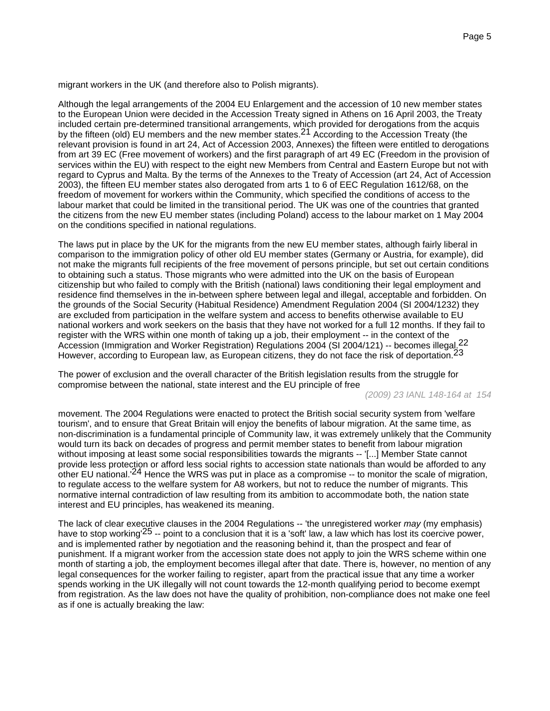migrant workers in the UK (and therefore also to Polish migrants).

Although the legal arrangements of the 2004 EU Enlargement and the accession of 10 new member states to the European Union were decided in the Accession Treaty signed in Athens on 16 April 2003, the Treaty included certain pre-determined transitional arrangements, which provided for derogations from the acquis by the fifteen (old) EU members and the new member states.<sup>21</sup> According to the Accession Treaty (the relevant provision is found in art 24, Act of Accession 2003, Annexes) the fifteen were entitled to derogations from art 39 EC (Free movement of workers) and the first paragraph of art 49 EC (Freedom in the provision of services within the EU) with respect to the eight new Members from Central and Eastern Europe but not with regard to Cyprus and Malta. By the terms of the Annexes to the Treaty of Accession (art 24, Act of Accession 2003), the fifteen EU member states also derogated from arts 1 to 6 of EEC Regulation 1612/68, on the freedom of movement for workers within the Community, which specified the conditions of access to the labour market that could be limited in the transitional period. The UK was one of the countries that granted the citizens from the new EU member states (including Poland) access to the labour market on 1 May 2004 on the conditions specified in national regulations.

The laws put in place by the UK for the migrants from the new EU member states, although fairly liberal in comparison to the immigration policy of other old EU member states (Germany or Austria, for example), did not make the migrants full recipients of the free movement of persons principle, but set out certain conditions to obtaining such a status. Those migrants who were admitted into the UK on the basis of European citizenship but who failed to comply with the British (national) laws conditioning their legal employment and residence find themselves in the in-between sphere between legal and illegal, acceptable and forbidden. On the grounds of the Social Security (Habitual Residence) Amendment Regulation 2004 (SI 2004/1232) they are excluded from participation in the welfare system and access to benefits otherwise available to EU national workers and work seekers on the basis that they have not worked for a full 12 months. If they fail to register with the WRS within one month of taking up a job, their employment -- in the context of the Accession (Immigration and Worker Registration) Regulations 2004 (SI 2004/121) -- becomes illegal.<sup>22</sup> However, according to European law, as European citizens, they do not face the risk of deportation.<sup>23</sup>

The power of exclusion and the overall character of the British legislation results from the struggle for compromise between the national, state interest and the EU principle of free

(2009) 23 IANL 148-164 at 154

movement. The 2004 Regulations were enacted to protect the British social security system from 'welfare tourism', and to ensure that Great Britain will enjoy the benefits of labour migration. At the same time, as non-discrimination is a fundamental principle of Community law, it was extremely unlikely that the Community would turn its back on decades of progress and permit member states to benefit from labour migration without imposing at least some social responsibilities towards the migrants -- '[...] Member State cannot provide less protection or afford less social rights to accession state nationals than would be afforded to any other EU national.'24 Hence the WRS was put in place as a compromise -- to monitor the scale of migration, to regulate access to the welfare system for A8 workers, but not to reduce the number of migrants. This normative internal contradiction of law resulting from its ambition to accommodate both, the nation state interest and EU principles, has weakened its meaning.

The lack of clear executive clauses in the 2004 Regulations -- 'the unregistered worker may (my emphasis) have to stop working<sup>'25</sup> -- point to a conclusion that it is a 'soft' law, a law which has lost its coercive power, and is implemented rather by negotiation and the reasoning behind it, than the prospect and fear of punishment. If a migrant worker from the accession state does not apply to join the WRS scheme within one month of starting a job, the employment becomes illegal after that date. There is, however, no mention of any legal consequences for the worker failing to register, apart from the practical issue that any time a worker spends working in the UK illegally will not count towards the 12-month qualifying period to become exempt from registration. As the law does not have the quality of prohibition, non-compliance does not make one feel as if one is actually breaking the law: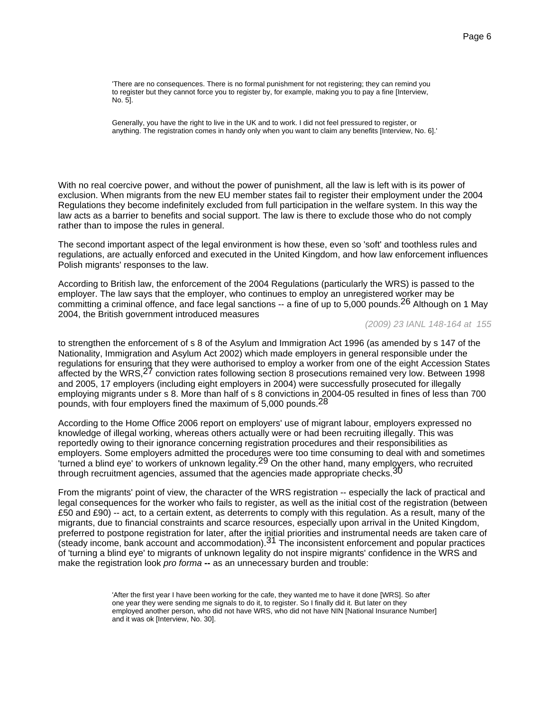'There are no consequences. There is no formal punishment for not registering; they can remind you to register but they cannot force you to register by, for example, making you to pay a fine [Interview, No. 5].

Generally, you have the right to live in the UK and to work. I did not feel pressured to register, or anything. The registration comes in handy only when you want to claim any benefits [Interview, No. 6].'

With no real coercive power, and without the power of punishment, all the law is left with is its power of exclusion. When migrants from the new EU member states fail to register their employment under the 2004 Regulations they become indefinitely excluded from full participation in the welfare system. In this way the law acts as a barrier to benefits and social support. The law is there to exclude those who do not comply rather than to impose the rules in general.

The second important aspect of the legal environment is how these, even so 'soft' and toothless rules and regulations, are actually enforced and executed in the United Kingdom, and how law enforcement influences Polish migrants' responses to the law.

According to British law, the enforcement of the 2004 Regulations (particularly the WRS) is passed to the employer. The law says that the employer, who continues to employ an unregistered worker may be committing a criminal offence, and face legal sanctions -- a fine of up to 5,000 pounds.<sup>26</sup> Although on 1 May 2004, the British government introduced measures

(2009) 23 IANL 148-164 at 155

to strengthen the enforcement of s 8 of the Asylum and Immigration Act 1996 (as amended by s 147 of the Nationality, Immigration and Asylum Act 2002) which made employers in general responsible under the regulations for ensuring that they were authorised to employ a worker from one of the eight Accession States affected by the WRS,<sup>27</sup> conviction rates following section 8 prosecutions remained very low. Between 1998 and 2005, 17 employers (including eight employers in 2004) were successfully prosecuted for illegally employing migrants under s 8. More than half of s 8 convictions in 2004-05 resulted in fines of less than 700 pounds, with four employers fined the maximum of 5,000 pounds.<sup>28</sup>

According to the Home Office 2006 report on employers' use of migrant labour, employers expressed no knowledge of illegal working, whereas others actually were or had been recruiting illegally. This was reportedly owing to their ignorance concerning registration procedures and their responsibilities as employers. Some employers admitted the procedures were too time consuming to deal with and sometimes 'turned a blind eye' to workers of unknown legality.29 On the other hand, many employers, who recruited through recruitment agencies, assumed that the agencies made appropriate checks. 30

From the migrants' point of view, the character of the WRS registration -- especially the lack of practical and legal consequences for the worker who fails to register, as well as the initial cost of the registration (between £50 and £90) -- act, to a certain extent, as deterrents to comply with this regulation. As a result, many of the migrants, due to financial constraints and scarce resources, especially upon arrival in the United Kingdom, preferred to postpone registration for later, after the initial priorities and instrumental needs are taken care of (steady income, bank account and accommodation). $31$  The inconsistent enforcement and popular practices of 'turning a blind eye' to migrants of unknown legality do not inspire migrants' confidence in the WRS and make the registration look pro forma **--** as an unnecessary burden and trouble:

> 'After the first year I have been working for the cafe, they wanted me to have it done [WRS]. So after one year they were sending me signals to do it, to register. So I finally did it. But later on they employed another person, who did not have WRS, who did not have NIN [National Insurance Number] and it was ok [Interview, No. 30].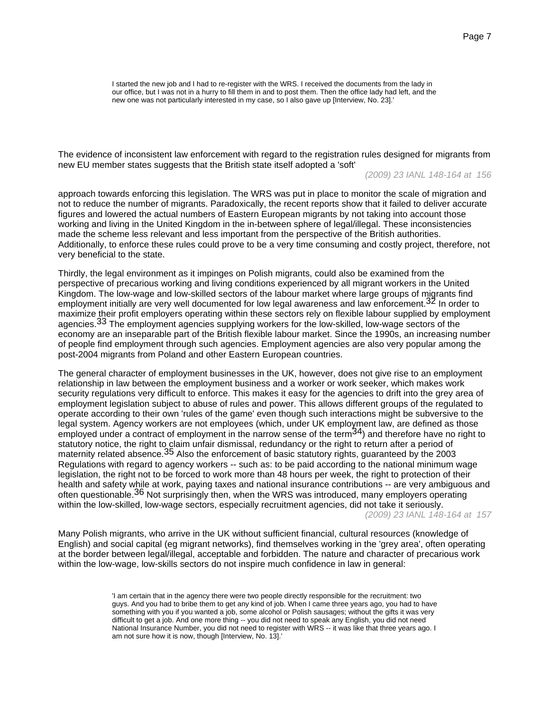I started the new job and I had to re-register with the WRS. I received the documents from the lady in our office, but I was not in a hurry to fill them in and to post them. Then the office lady had left, and the new one was not particularly interested in my case, so I also gave up [Interview, No. 23].'

The evidence of inconsistent law enforcement with regard to the registration rules designed for migrants from new EU member states suggests that the British state itself adopted a 'soft'

(2009) 23 IANL 148-164 at 156

approach towards enforcing this legislation. The WRS was put in place to monitor the scale of migration and not to reduce the number of migrants. Paradoxically, the recent reports show that it failed to deliver accurate figures and lowered the actual numbers of Eastern European migrants by not taking into account those working and living in the United Kingdom in the in-between sphere of legal/illegal. These inconsistencies made the scheme less relevant and less important from the perspective of the British authorities. Additionally, to enforce these rules could prove to be a very time consuming and costly project, therefore, not very beneficial to the state.

Thirdly, the legal environment as it impinges on Polish migrants, could also be examined from the perspective of precarious working and living conditions experienced by all migrant workers in the United Kingdom. The low-wage and low-skilled sectors of the labour market where large groups of migrants find employment initially are very well documented for low legal awareness and law enforcement.<sup>32</sup> In order to maximize their profit employers operating within these sectors rely on flexible labour supplied by employment agencies.<sup>33</sup> The employment agencies supplying workers for the low-skilled, low-wage sectors of the economy are an inseparable part of the British flexible labour market. Since the 1990s, an increasing number of people find employment through such agencies. Employment agencies are also very popular among the post-2004 migrants from Poland and other Eastern European countries.

The general character of employment businesses in the UK, however, does not give rise to an employment relationship in law between the employment business and a worker or work seeker, which makes work security regulations very difficult to enforce. This makes it easy for the agencies to drift into the grey area of employment legislation subject to abuse of rules and power. This allows different groups of the regulated to operate according to their own 'rules of the game' even though such interactions might be subversive to the legal system. Agency workers are not employees (which, under UK employment law, are defined as those employed under a contract of employment in the narrow sense of the term<sup>34</sup>) and therefore have no right to statutory notice, the right to claim unfair dismissal, redundancy or the right to return after a period of maternity related absence.<sup>35</sup> Also the enforcement of basic statutory rights, guaranteed by the 2003 Regulations with regard to agency workers -- such as: to be paid according to the national minimum wage legislation, the right not to be forced to work more than 48 hours per week, the right to protection of their health and safety while at work, paying taxes and national insurance contributions -- are very ambiguous and often questionable.<sup>36</sup> Not surprisingly then, when the WRS was introduced, many employers operating within the low-skilled, low-wage sectors, especially recruitment agencies, did not take it seriously.

(2009) 23 IANL 148-164 at 157

Many Polish migrants, who arrive in the UK without sufficient financial, cultural resources (knowledge of English) and social capital (eg migrant networks), find themselves working in the 'grey area', often operating at the border between legal/illegal, acceptable and forbidden. The nature and character of precarious work within the low-wage, low-skills sectors do not inspire much confidence in law in general:

> 'I am certain that in the agency there were two people directly responsible for the recruitment: two guys. And you had to bribe them to get any kind of job. When I came three years ago, you had to have something with you if you wanted a job, some alcohol or Polish sausages; without the gifts it was very difficult to get a job. And one more thing -- you did not need to speak any English, you did not need National Insurance Number, you did not need to register with WRS -- it was like that three years ago. I am not sure how it is now, though [Interview, No. 13].'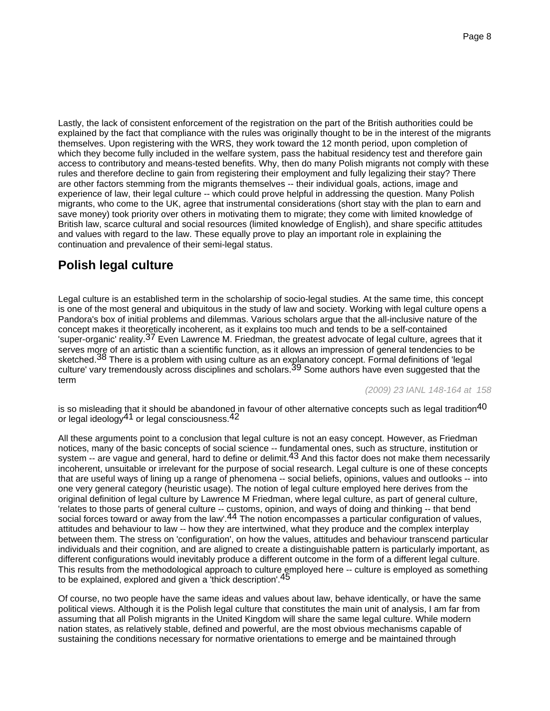Lastly, the lack of consistent enforcement of the registration on the part of the British authorities could be explained by the fact that compliance with the rules was originally thought to be in the interest of the migrants themselves. Upon registering with the WRS, they work toward the 12 month period, upon completion of which they become fully included in the welfare system, pass the habitual residency test and therefore gain access to contributory and means-tested benefits. Why, then do many Polish migrants not comply with these rules and therefore decline to gain from registering their employment and fully legalizing their stay? There are other factors stemming from the migrants themselves -- their individual goals, actions, image and experience of law, their legal culture -- which could prove helpful in addressing the question. Many Polish migrants, who come to the UK, agree that instrumental considerations (short stay with the plan to earn and save money) took priority over others in motivating them to migrate; they come with limited knowledge of British law, scarce cultural and social resources (limited knowledge of English), and share specific attitudes and values with regard to the law. These equally prove to play an important role in explaining the continuation and prevalence of their semi-legal status.

# **Polish legal culture**

Legal culture is an established term in the scholarship of socio-legal studies. At the same time, this concept is one of the most general and ubiquitous in the study of law and society. Working with legal culture opens a Pandora's box of initial problems and dilemmas. Various scholars argue that the all-inclusive nature of the concept makes it theoretically incoherent, as it explains too much and tends to be a self-contained 'super-organic' reality.<sup>37</sup> Even Lawrence M. Friedman, the greatest advocate of legal culture, agrees that it serves more of an artistic than a scientific function, as it allows an impression of general tendencies to be sketched.<sup>38</sup> There is a problem with using culture as an explanatory concept. Formal definitions of 'legal culture' vary tremendously across disciplines and scholars.<sup>39</sup> Some authors have even suggested that the term

(2009) 23 IANL 148-164 at 158

is so misleading that it should be abandoned in favour of other alternative concepts such as legal tradition $^{40}$ or legal ideology<sup>41</sup> or legal consciousness.<sup>42</sup>

All these arguments point to a conclusion that legal culture is not an easy concept. However, as Friedman notices, many of the basic concepts of social science -- fundamental ones, such as structure, institution or system -- are vague and general, hard to define or delimit.<sup>43</sup> And this factor does not make them necessarily incoherent, unsuitable or irrelevant for the purpose of social research. Legal culture is one of these concepts that are useful ways of lining up a range of phenomena -- social beliefs, opinions, values and outlooks -- into one very general category (heuristic usage). The notion of legal culture employed here derives from the original definition of legal culture by Lawrence M Friedman, where legal culture, as part of general culture, 'relates to those parts of general culture -- customs, opinion, and ways of doing and thinking -- that bend social forces toward or away from the law'.<sup>44</sup> The notion encompasses a particular configuration of values, attitudes and behaviour to law -- how they are intertwined, what they produce and the complex interplay between them. The stress on 'configuration', on how the values, attitudes and behaviour transcend particular individuals and their cognition, and are aligned to create a distinguishable pattern is particularly important, as different configurations would inevitably produce a different outcome in the form of a different legal culture. This results from the methodological approach to culture employed here -- culture is employed as something to be explained, explored and given a 'thick description'.45

Of course, no two people have the same ideas and values about law, behave identically, or have the same political views. Although it is the Polish legal culture that constitutes the main unit of analysis, I am far from assuming that all Polish migrants in the United Kingdom will share the same legal culture. While modern nation states, as relatively stable, defined and powerful, are the most obvious mechanisms capable of sustaining the conditions necessary for normative orientations to emerge and be maintained through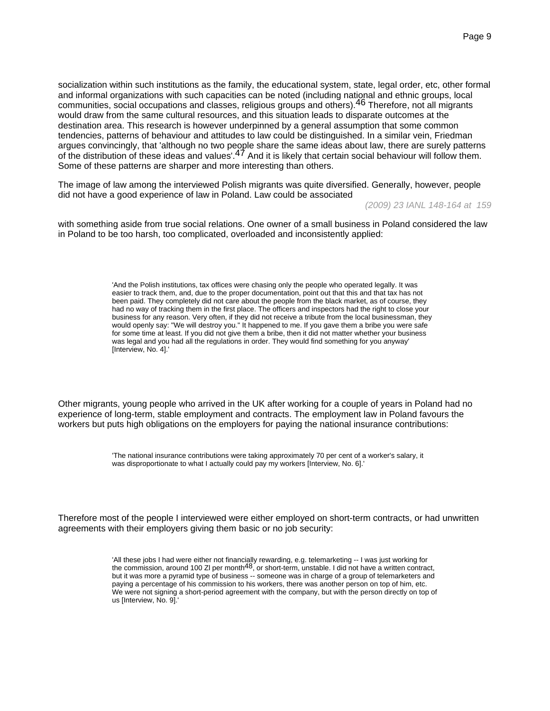socialization within such institutions as the family, the educational system, state, legal order, etc, other formal and informal organizations with such capacities can be noted (including national and ethnic groups, local communities, social occupations and classes, religious groups and others).46 Therefore, not all migrants would draw from the same cultural resources, and this situation leads to disparate outcomes at the destination area. This research is however underpinned by a general assumption that some common tendencies, patterns of behaviour and attitudes to law could be distinguished. In a similar vein, Friedman argues convincingly, that 'although no two people share the same ideas about law, there are surely patterns of the distribution of these ideas and values'.<sup>47</sup> And it is likely that certain social behaviour will follow them. Some of these patterns are sharper and more interesting than others.

The image of law among the interviewed Polish migrants was quite diversified. Generally, however, people did not have a good experience of law in Poland. Law could be associated

(2009) 23 IANL 148-164 at 159

with something aside from true social relations. One owner of a small business in Poland considered the law in Poland to be too harsh, too complicated, overloaded and inconsistently applied:

> 'And the Polish institutions, tax offices were chasing only the people who operated legally. It was easier to track them, and, due to the proper documentation, point out that this and that tax has not been paid. They completely did not care about the people from the black market, as of course, they had no way of tracking them in the first place. The officers and inspectors had the right to close your business for any reason. Very often, if they did not receive a tribute from the local businessman, they would openly say: "We will destroy you." It happened to me. If you gave them a bribe you were safe for some time at least. If you did not give them a bribe, then it did not matter whether your business was legal and you had all the regulations in order. They would find something for you anyway' [Interview, No. 4].'

Other migrants, young people who arrived in the UK after working for a couple of years in Poland had no experience of long-term, stable employment and contracts. The employment law in Poland favours the workers but puts high obligations on the employers for paying the national insurance contributions:

> 'The national insurance contributions were taking approximately 70 per cent of a worker's salary, it was disproportionate to what I actually could pay my workers [Interview, No. 6].'

Therefore most of the people I interviewed were either employed on short-term contracts, or had unwritten agreements with their employers giving them basic or no job security:

> 'All these jobs I had were either not financially rewarding, e.g. telemarketing -- I was just working for the commission, around 100 Zl per month48, or short-term, unstable. I did not have a written contract, but it was more a pyramid type of business -- someone was in charge of a group of telemarketers and paying a percentage of his commission to his workers, there was another person on top of him, etc. We were not signing a short-period agreement with the company, but with the person directly on top of us [Interview, No. 9].'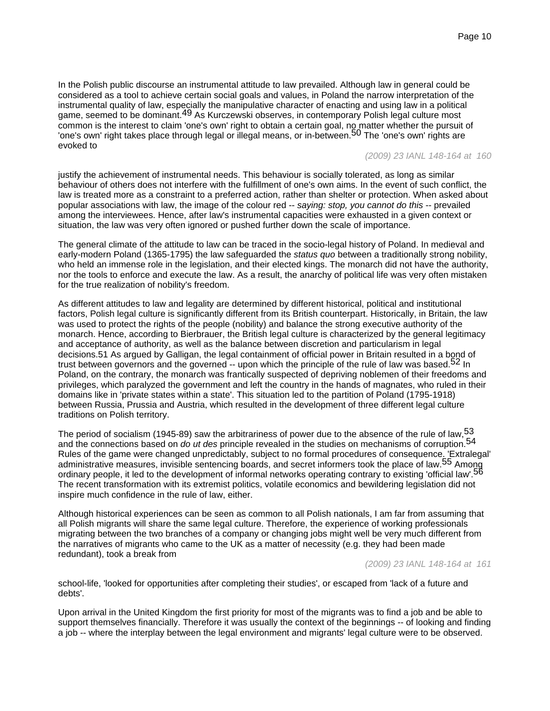In the Polish public discourse an instrumental attitude to law prevailed. Although law in general could be considered as a tool to achieve certain social goals and values, in Poland the narrow interpretation of the instrumental quality of law, especially the manipulative character of enacting and using law in a political game, seemed to be dominant.49 As Kurczewski observes, in contemporary Polish legal culture most common is the interest to claim 'one's own' right to obtain a certain goal, no matter whether the pursuit of 'one's own' right takes place through legal or illegal means, or in-between.<sup>50</sup> The 'one's own' rights are evoked to

#### (2009) 23 IANL 148-164 at 160

justify the achievement of instrumental needs. This behaviour is socially tolerated, as long as similar behaviour of others does not interfere with the fulfillment of one's own aims. In the event of such conflict, the law is treated more as a constraint to a preferred action, rather than shelter or protection. When asked about popular associations with law, the image of the colour red -- saying: stop, you cannot do this -- prevailed among the interviewees. Hence, after law's instrumental capacities were exhausted in a given context or situation, the law was very often ignored or pushed further down the scale of importance.

The general climate of the attitude to law can be traced in the socio-legal history of Poland. In medieval and early-modern Poland (1365-1795) the law safeguarded the status quo between a traditionally strong nobility, who held an immense role in the legislation, and their elected kings. The monarch did not have the authority, nor the tools to enforce and execute the law. As a result, the anarchy of political life was very often mistaken for the true realization of nobility's freedom.

As different attitudes to law and legality are determined by different historical, political and institutional factors, Polish legal culture is significantly different from its British counterpart. Historically, in Britain, the law was used to protect the rights of the people (nobility) and balance the strong executive authority of the monarch. Hence, according to Bierbrauer, the British legal culture is characterized by the general legitimacy and acceptance of authority, as well as the balance between discretion and particularism in legal decisions.51 As argued by Galligan, the legal containment of official power in Britain resulted in a bond of trust between governors and the governed -- upon which the principle of the rule of law was based.<sup>52</sup> In Poland, on the contrary, the monarch was frantically suspected of depriving noblemen of their freedoms and privileges, which paralyzed the government and left the country in the hands of magnates, who ruled in their domains like in 'private states within a state'. This situation led to the partition of Poland (1795-1918) between Russia, Prussia and Austria, which resulted in the development of three different legal culture traditions on Polish territory.

The period of socialism (1945-89) saw the arbitrariness of power due to the absence of the rule of law,  $53$ and the connections based on do ut des principle revealed in the studies on mechanisms of corruption.<sup>54</sup> Rules of the game were changed unpredictably, subject to no formal procedures of consequence. 'Extralegal' administrative measures, invisible sentencing boards, and secret informers took the place of law.<sup>55</sup> Among ordinary people, it led to the development of informal networks operating contrary to existing 'official law'.56 The recent transformation with its extremist politics, volatile economics and bewildering legislation did not inspire much confidence in the rule of law, either.

Although historical experiences can be seen as common to all Polish nationals, I am far from assuming that all Polish migrants will share the same legal culture. Therefore, the experience of working professionals migrating between the two branches of a company or changing jobs might well be very much different from the narratives of migrants who came to the UK as a matter of necessity (e.g. they had been made redundant), took a break from

(2009) 23 IANL 148-164 at 161

school-life, 'looked for opportunities after completing their studies', or escaped from 'lack of a future and debts'.

Upon arrival in the United Kingdom the first priority for most of the migrants was to find a job and be able to support themselves financially. Therefore it was usually the context of the beginnings -- of looking and finding a job -- where the interplay between the legal environment and migrants' legal culture were to be observed.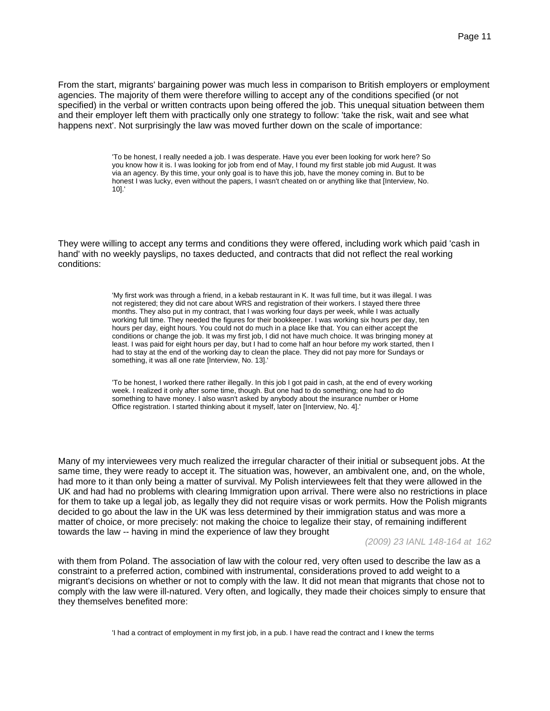From the start, migrants' bargaining power was much less in comparison to British employers or employment agencies. The majority of them were therefore willing to accept any of the conditions specified (or not specified) in the verbal or written contracts upon being offered the job. This unequal situation between them and their employer left them with practically only one strategy to follow: 'take the risk, wait and see what happens next'. Not surprisingly the law was moved further down on the scale of importance:

> 'To be honest, I really needed a job. I was desperate. Have you ever been looking for work here? So you know how it is. I was looking for job from end of May, I found my first stable job mid August. It was via an agency. By this time, your only goal is to have this job, have the money coming in. But to be honest I was lucky, even without the papers, I wasn't cheated on or anything like that [Interview, No. 10].'

They were willing to accept any terms and conditions they were offered, including work which paid 'cash in hand' with no weekly payslips, no taxes deducted, and contracts that did not reflect the real working conditions:

> 'My first work was through a friend, in a kebab restaurant in K. It was full time, but it was illegal. I was not registered; they did not care about WRS and registration of their workers. I stayed there three months. They also put in my contract, that I was working four days per week, while I was actually working full time. They needed the figures for their bookkeeper. I was working six hours per day, ten hours per day, eight hours. You could not do much in a place like that. You can either accept the conditions or change the job. It was my first job, I did not have much choice. It was bringing money at least. I was paid for eight hours per day, but I had to come half an hour before my work started, then I had to stay at the end of the working day to clean the place. They did not pay more for Sundays or something, it was all one rate [Interview, No. 13].'

> 'To be honest, I worked there rather illegally. In this job I got paid in cash, at the end of every working week. I realized it only after some time, though. But one had to do something; one had to do something to have money. I also wasn't asked by anybody about the insurance number or Home Office registration. I started thinking about it myself, later on [Interview, No. 4].'

Many of my interviewees very much realized the irregular character of their initial or subsequent jobs. At the same time, they were ready to accept it. The situation was, however, an ambivalent one, and, on the whole, had more to it than only being a matter of survival. My Polish interviewees felt that they were allowed in the UK and had had no problems with clearing Immigration upon arrival. There were also no restrictions in place for them to take up a legal job, as legally they did not require visas or work permits. How the Polish migrants decided to go about the law in the UK was less determined by their immigration status and was more a matter of choice, or more precisely: not making the choice to legalize their stay, of remaining indifferent towards the law -- having in mind the experience of law they brought

(2009) 23 IANL 148-164 at 162

with them from Poland. The association of law with the colour red, very often used to describe the law as a constraint to a preferred action, combined with instrumental, considerations proved to add weight to a migrant's decisions on whether or not to comply with the law. It did not mean that migrants that chose not to comply with the law were ill-natured. Very often, and logically, they made their choices simply to ensure that they themselves benefited more:

'I had a contract of employment in my first job, in a pub. I have read the contract and I knew the terms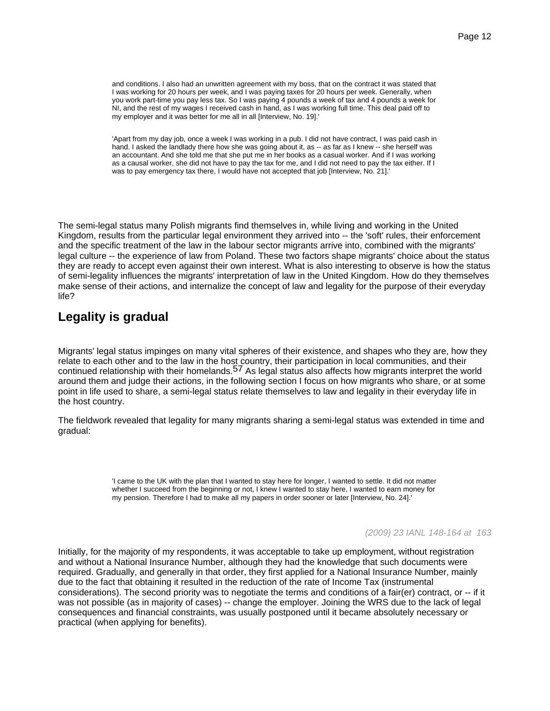and conditions. I also had an unwritten agreement with my boss, that on the contract it was stated that I was working for 20 hours per week, and I was paying taxes for 20 hours per week. Generally, when you work part-time you pay less tax. So I was paying 4 pounds a week of tax and 4 pounds a week for NI, and the rest of my wages I received cash in hand, as I was working full time. This deal paid off to my employer and it was better for me all in all [Interview, No. 19].'

'Apart from my day job, once a week I was working in a pub. I did not have contract, I was paid cash in hand. I asked the landlady there how she was going about it, as -- as far as I knew -- she herself was an accountant. And she told me that she put me in her books as a casual worker. And if I was working as a causal worker, she did not have to pay the tax for me, and I did not need to pay the tax either. If I was to pay emergency tax there, I would have not accepted that job [Interview, No. 21].'

The semi-legal status many Polish migrants find themselves in, while living and working in the United Kingdom, results from the particular legal environment they arrived into -- the 'soft' rules, their enforcement and the specific treatment of the law in the labour sector migrants arrive into, combined with the migrants' legal culture -- the experience of law from Poland. These two factors shape migrants' choice about the status they are ready to accept even against their own interest. What is also interesting to observe is how the status of semi-legality influences the migrants' interpretation of law in the United Kingdom. How do they themselves make sense of their actions, and internalize the concept of law and legality for the purpose of their everyday life?

# **Legality is gradual**

Migrants' legal status impinges on many vital spheres of their existence, and shapes who they are, how they relate to each other and to the law in the host country, their participation in local communities, and their continued relationship with their homelands.<sup>57</sup> As legal status also affects how migrants interpret the world around them and judge their actions, in the following section I focus on how migrants who share, or at some point in life used to share, a semi-legal status relate themselves to law and legality in their everyday life in the host country.

The fieldwork revealed that legality for many migrants sharing a semi-legal status was extended in time and gradual:

> 'I came to the UK with the plan that I wanted to stay here for longer, I wanted to settle. It did not matter whether I succeed from the beginning or not, I knew I wanted to stay here, I wanted to earn money for my pension. Therefore I had to make all my papers in order sooner or later [Interview, No. 24].'

> > (2009) 23 IANL 148-164 at 163

Initially, for the majority of my respondents, it was acceptable to take up employment, without registration and without a National Insurance Number, although they had the knowledge that such documents were required. Gradually, and generally in that order, they first applied for a National Insurance Number, mainly due to the fact that obtaining it resulted in the reduction of the rate of Income Tax (instrumental considerations). The second priority was to negotiate the terms and conditions of a fair(er) contract, or -- if it was not possible (as in majority of cases) -- change the employer. Joining the WRS due to the lack of legal consequences and financial constraints, was usually postponed until it became absolutely necessary or practical (when applying for benefits).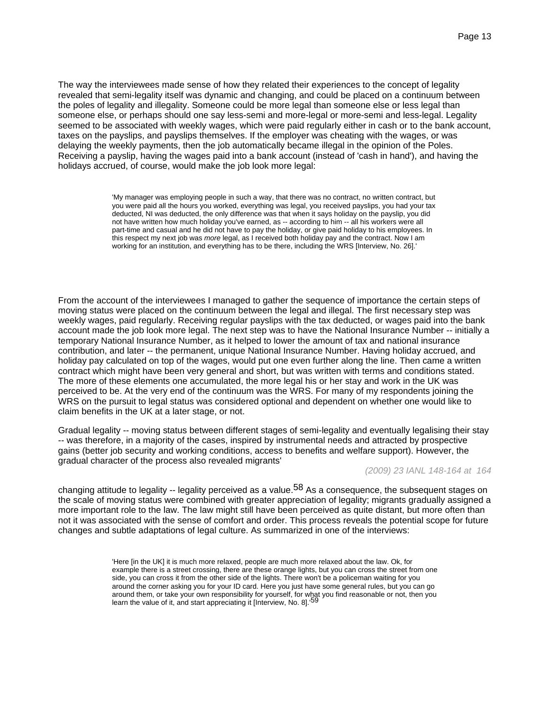The way the interviewees made sense of how they related their experiences to the concept of legality revealed that semi-legality itself was dynamic and changing, and could be placed on a continuum between the poles of legality and illegality. Someone could be more legal than someone else or less legal than someone else, or perhaps should one say less-semi and more-legal or more-semi and less-legal. Legality seemed to be associated with weekly wages, which were paid regularly either in cash or to the bank account, taxes on the payslips, and payslips themselves. If the employer was cheating with the wages, or was delaying the weekly payments, then the job automatically became illegal in the opinion of the Poles. Receiving a payslip, having the wages paid into a bank account (instead of 'cash in hand'), and having the holidays accrued, of course, would make the job look more legal:

> 'My manager was employing people in such a way, that there was no contract, no written contract, but you were paid all the hours you worked, everything was legal, you received payslips, you had your tax deducted, NI was deducted, the only difference was that when it says holiday on the payslip, you did not have written how much holiday you've earned, as -- according to him -- all his workers were all part-time and casual and he did not have to pay the holiday, or give paid holiday to his employees. In this respect my next job was more legal, as I received both holiday pay and the contract. Now I am working for an institution, and everything has to be there, including the WRS [Interview, No. 26].'

From the account of the interviewees I managed to gather the sequence of importance the certain steps of moving status were placed on the continuum between the legal and illegal. The first necessary step was weekly wages, paid regularly. Receiving regular payslips with the tax deducted, or wages paid into the bank account made the job look more legal. The next step was to have the National Insurance Number -- initially a temporary National Insurance Number, as it helped to lower the amount of tax and national insurance contribution, and later -- the permanent, unique National Insurance Number. Having holiday accrued, and holiday pay calculated on top of the wages, would put one even further along the line. Then came a written contract which might have been very general and short, but was written with terms and conditions stated. The more of these elements one accumulated, the more legal his or her stay and work in the UK was perceived to be. At the very end of the continuum was the WRS. For many of my respondents joining the WRS on the pursuit to legal status was considered optional and dependent on whether one would like to claim benefits in the UK at a later stage, or not.

Gradual legality -- moving status between different stages of semi-legality and eventually legalising their stay -- was therefore, in a majority of the cases, inspired by instrumental needs and attracted by prospective gains (better job security and working conditions, access to benefits and welfare support). However, the gradual character of the process also revealed migrants'

#### (2009) 23 IANL 148-164 at 164

changing attitude to legality  $-$  legality perceived as a value.<sup>58</sup> As a consequence, the subsequent stages on the scale of moving status were combined with greater appreciation of legality; migrants gradually assigned a more important role to the law. The law might still have been perceived as quite distant, but more often than not it was associated with the sense of comfort and order. This process reveals the potential scope for future changes and subtle adaptations of legal culture. As summarized in one of the interviews:

> 'Here [in the UK] it is much more relaxed, people are much more relaxed about the law. Ok, for example there is a street crossing, there are these orange lights, but you can cross the street from one side, you can cross it from the other side of the lights. There won't be a policeman waiting for you around the corner asking you for your ID card. Here you just have some general rules, but you can go around them, or take your own responsibility for yourself, for what you find reasonable or not, then you learn the value of it, and start appreciating it [Interview, No. 8].'59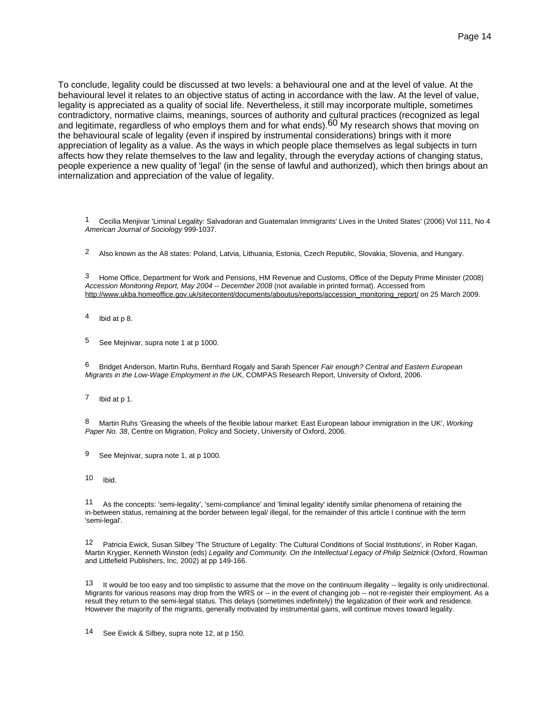To conclude, legality could be discussed at two levels: a behavioural one and at the level of value. At the behavioural level it relates to an objective status of acting in accordance with the law. At the level of value, legality is appreciated as a quality of social life. Nevertheless, it still may incorporate multiple, sometimes contradictory, normative claims, meanings, sources of authority and cultural practices (recognized as legal and legitimate, regardless of who employs them and for what ends).<sup>60</sup> My research shows that moving on the behavioural scale of legality (even if inspired by instrumental considerations) brings with it more appreciation of legality as a value. As the ways in which people place themselves as legal subjects in turn affects how they relate themselves to the law and legality, through the everyday actions of changing status, people experience a new quality of 'legal' (in the sense of lawful and authorized), which then brings about an internalization and appreciation of the value of legality.

1 Cecilia Menjivar 'Liminal Legality: Salvadoran and Guatemalan Immigrants' Lives in the United States' (2006) Vol 111, No 4 American Journal of Sociology 999-1037.

<sup>2</sup> Also known as the A8 states: Poland, Latvia, Lithuania, Estonia, Czech Republic, Slovakia, Slovenia, and Hungary.

3 Home Office, Department for Work and Pensions, HM Revenue and Customs, Office of the Deputy Prime Minister (2008) Accession Monitoring Report, May 2004 -- December 2008 (not available in printed format). Accessed from http://www.ukba.homeoffice.gov.uk/sitecontent/documents/aboutus/reports/accession\_monitoring\_report/ on 25 March 2009.

- 4 Ibid at p 8.
- 5 See Mejnivar, supra note 1 at p 1000.

6 Bridget Anderson, Martin Ruhs, Bernhard Rogaly and Sarah Spencer Fair enough? Central and Eastern European Migrants in the Low-Wage Employment in the UK, COMPAS Research Report, University of Oxford, 2006.

7 Ibid at p 1.

8 Martin Ruhs 'Greasing the wheels of the flexible labour market: East European labour immigration in the UK', Working Paper No. 38, Centre on Migration, Policy and Society, University of Oxford, 2006.

9 See Mejnivar, supra note 1, at p 1000.

10 Ibid.

11 As the concepts: 'semi-legality', 'semi-compliance' and 'liminal legality' identify similar phenomena of retaining the in-between status, remaining at the border between legal/ illegal, for the remainder of this article I continue with the term 'semi-legal'.

12 Patricia Ewick, Susan Silbey 'The Structure of Legality: The Cultural Conditions of Social Institutions', in Rober Kagan, Martin Krygier, Kenneth Winston (eds) Legality and Community. On the Intellectual Legacy of Philip Selznick (Oxford, Rowman and Littlefield Publishers, Inc, 2002) at pp 149-166.

13 It would be too easy and too simplistic to assume that the move on the continuum illegality -- legality is only unidirectional. Migrants for various reasons may drop from the WRS or -- in the event of changing job -- not re-register their employment. As a result they return to the semi-legal status. This delays (sometimes indefinitely) the legalization of their work and residence. However the majority of the migrants, generally motivated by instrumental gains, will continue moves toward legality.

14 See Ewick & Silbey, supra note 12, at p 150.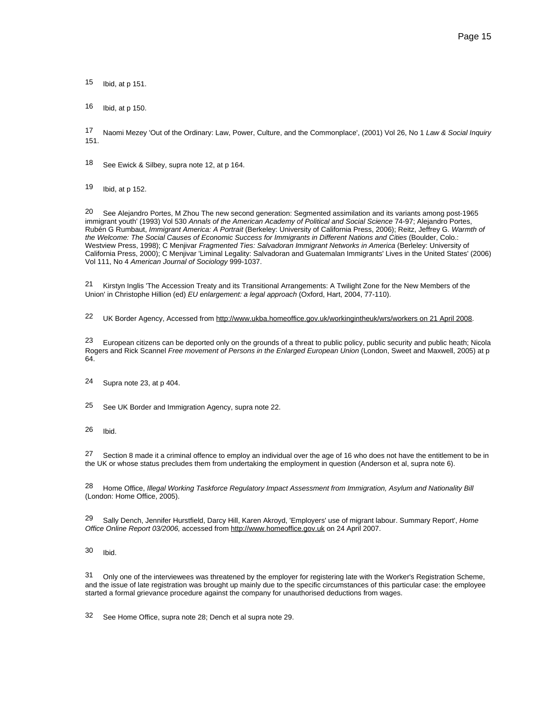15 Ibid, at p 151.

16 Ibid, at p 150.

17 Naomi Mezey 'Out of the Ordinary: Law, Power, Culture, and the Commonplace', (2001) Vol 26, No 1 Law & Social Inquiry 151.

18 See Ewick & Silbey, supra note 12, at p 164.

19 Ibid, at p 152.

20 See Alejandro Portes, M Zhou The new second generation: Segmented assimilation and its variants among post-1965 immigrant youth' (1993) Vol 530 Annals of the American Academy of Political and Social Science 74-97; Alejandro Portes, Rubén G Rumbaut, Immigrant America: A Portrait (Berkeley: University of California Press, 2006); Reitz, Jeffrey G. Warmth of the Welcome: The Social Causes of Economic Success for Immigrants in Different Nations and Cities (Boulder, Colo.: Westview Press, 1998); C Menjivar Fragmented Ties: Salvadoran Immigrant Networks in America (Berleley: University of California Press, 2000); C Menjivar 'Liminal Legality: Salvadoran and Guatemalan Immigrants' Lives in the United States' (2006) Vol 111, No 4 American Journal of Sociology 999-1037.

21 Kirstyn Inglis 'The Accession Treaty and its Transitional Arrangements: A Twilight Zone for the New Members of the Union' in Christophe Hillion (ed) EU enlargement: a legal approach (Oxford, Hart, 2004, 77-110).

22 UK Border Agency, Accessed from http://www.ukba.homeoffice.gov.uk/workingintheuk/wrs/workers on 21 April 2008.

<sup>23</sup> European citizens can be deported only on the grounds of a threat to public policy, public security and public heath; Nicola Rogers and Rick Scannel Free movement of Persons in the Enlarged European Union (London, Sweet and Maxwell, 2005) at p 64.

24 Supra note 23, at p 404.

25 See UK Border and Immigration Agency, supra note 22.

26 Ibid.

27 Section 8 made it a criminal offence to employ an individual over the age of 16 who does not have the entitlement to be in the UK or whose status precludes them from undertaking the employment in question (Anderson et al, supra note 6).

28 Home Office, Illegal Working Taskforce Regulatory Impact Assessment from Immigration, Asylum and Nationality Bill (London: Home Office, 2005).

<sup>29</sup> Sally Dench, Jennifer Hurstfield, Darcy Hill, Karen Akroyd, 'Employers' use of migrant labour. Summary Report', Home Office Online Report 03/2006, accessed from http://www.homeoffice.gov.uk on 24 April 2007.

30 Ibid.

31 Only one of the interviewees was threatened by the employer for registering late with the Worker's Registration Scheme, and the issue of late registration was brought up mainly due to the specific circumstances of this particular case: the employee started a formal grievance procedure against the company for unauthorised deductions from wages.

32 See Home Office, supra note 28; Dench et al supra note 29.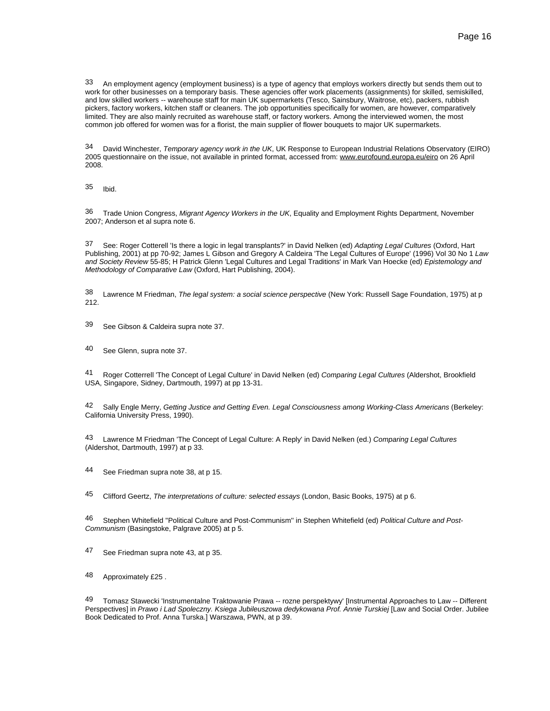33 An employment agency (employment business) is a type of agency that employs workers directly but sends them out to work for other businesses on a temporary basis. These agencies offer work placements (assignments) for skilled, semiskilled, and low skilled workers -- warehouse staff for main UK supermarkets (Tesco, Sainsbury, Waitrose, etc), packers, rubbish pickers, factory workers, kitchen staff or cleaners. The job opportunities specifically for women, are however, comparatively limited. They are also mainly recruited as warehouse staff, or factory workers. Among the interviewed women, the most common job offered for women was for a florist, the main supplier of flower bouquets to major UK supermarkets.

34 David Winchester, Temporary agency work in the UK, UK Response to European Industrial Relations Observatory (EIRO) 2005 questionnaire on the issue, not available in printed format, accessed from: www.eurofound.europa.eu/eiro on 26 April 2008.

35 Ibid.

36 Trade Union Congress, Migrant Agency Workers in the UK, Equality and Employment Rights Department, November 2007; Anderson et al supra note 6.

37 See: Roger Cotterell 'Is there a logic in legal transplants?' in David Nelken (ed) Adapting Legal Cultures (Oxford, Hart Publishing, 2001) at pp 70-92; James L Gibson and Gregory A Caldeira 'The Legal Cultures of Europe' (1996) Vol 30 No 1 Law and Society Review 55-85; H Patrick Glenn 'Legal Cultures and Legal Traditions' in Mark Van Hoecke (ed) Epistemology and Methodology of Comparative Law (Oxford, Hart Publishing, 2004).

38 Lawrence M Friedman, The legal system: a social science perspective (New York: Russell Sage Foundation, 1975) at p 212.

39 See Gibson & Caldeira supra note 37.

40 See Glenn, supra note 37.

41 Roger Cotterrell 'The Concept of Legal Culture' in David Nelken (ed) Comparing Legal Cultures (Aldershot, Brookfield USA, Singapore, Sidney, Dartmouth, 1997) at pp 13-31.

42 Sally Engle Merry, Getting Justice and Getting Even. Legal Consciousness among Working-Class Americans (Berkeley: California University Press, 1990).

43 Lawrence M Friedman 'The Concept of Legal Culture: A Reply' in David Nelken (ed.) Comparing Legal Cultures (Aldershot, Dartmouth, 1997) at p 33.

44 See Friedman supra note 38, at p 15.

45 Clifford Geertz, The interpretations of culture: selected essays (London, Basic Books, 1975) at p 6.

46 Stephen Whitefield "Political Culture and Post-Communism" in Stephen Whitefield (ed) Political Culture and Post-Communism (Basingstoke, Palgrave 2005) at p 5.

47 See Friedman supra note 43, at p 35.

48 Approximately £25 .

49 Tomasz Stawecki 'Instrumentalne Traktowanie Prawa -- rozne perspektywy' [Instrumental Approaches to Law -- Different Perspectives] in Prawo i Lad Spoleczny. Ksiega Jubileuszowa dedykowana Prof. Annie Turskiej [Law and Social Order. Jubilee Book Dedicated to Prof. Anna Turska.] Warszawa, PWN, at p 39.